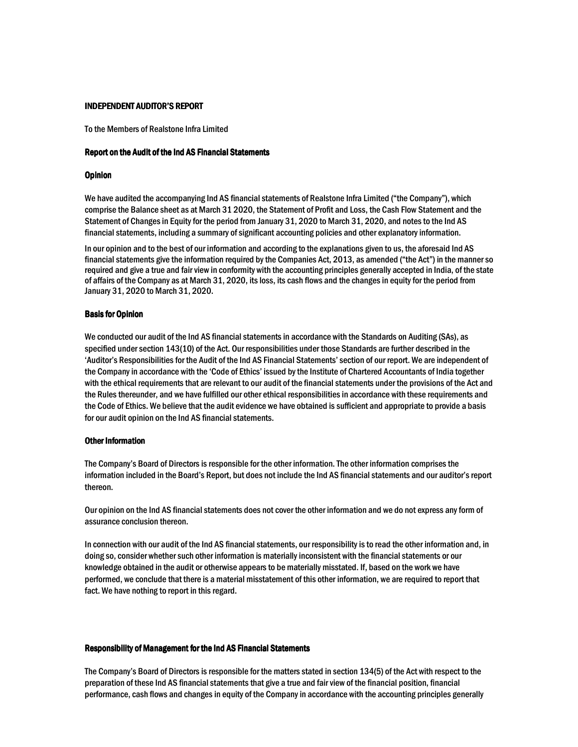# INDEPENDENT AUDITOR'S REPORT

To the Members of Realstone Infra Limited

# Report on the Audit of the Ind AS Financial Statements

#### **Opinion**

We have audited the accompanying Ind AS financial statements of Realstone Infra Limited ("the Company"), which comprise the Balance sheet as at March 31 2020, the Statement of Profit and Loss, the Cash Flow Statement and the Statement of Changes in Equity for the period from January 31, 2020 to March 31, 2020, and notes to the Ind AS financial statements, including a summary of significant accounting policies and other explanatory information.

In our opinion and to the best of our information and according to the explanations given to us, the aforesaid Ind AS financial statements give the information required by the Companies Act, 2013, as amended ("the Act") in the manner so required and give a true and fair view in conformity with the accounting principles generally accepted in India, of the state of affairs of the Company as at March 31, 2020, its loss, its cash flows and the changes in equity for the period from January 31, 2020 to March 31, 2020.

# **Basis for Opinion**

We conducted our audit of the Ind AS financial statements in accordance with the Standards on Auditing (SAs), as specified under section 143(10) of the Act. Our responsibilities under those Standards are further described in the 'Auditor's Responsibilities for the Audit of the Ind AS Financial Statements'section of our report. We are independent of the Company in accordance with the 'Code of Ethics' issued by the Institute of Chartered Accountants of India together with the ethical requirements that are relevant to our audit of the financial statements under the provisions of the Act and the Rules thereunder, and we have fulfilled our other ethical responsibilities in accordance with these requirements and the Code of Ethics. We believe that the audit evidence we have obtained is sufficient and appropriate to provide a basis for our audit opinion on the Ind AS financial statements.

# Other Information

The Company's Board of Directors is responsible for the other information. The other information comprises the information included in the Board's Report, but does not include the Ind AS financial statements and our auditor's report thereon.

Our opinion on the Ind AS financial statements does not cover the other information and we do not express any form of assurance conclusion thereon.

In connection with our audit of the Ind AS financial statements, our responsibility is to read the other information and, in doing so, consider whether such other information is materially inconsistent with the financial statements or our knowledge obtained in the audit or otherwise appears to be materially misstated. If, based on the work we have performed, we conclude that there is a material misstatement of this other information, we are required to report that fact. We have nothing to report in this regard.

#### Responsibility of Management for the Ind AS Financial Statements

The Company's Board of Directors is responsible for the matters stated in section 134(5) of the Act with respect to the preparation of these Ind AS financial statements that give a true and fair view of the financial position, financial performance, cash flows and changes in equity of the Company in accordance with the accounting principles generally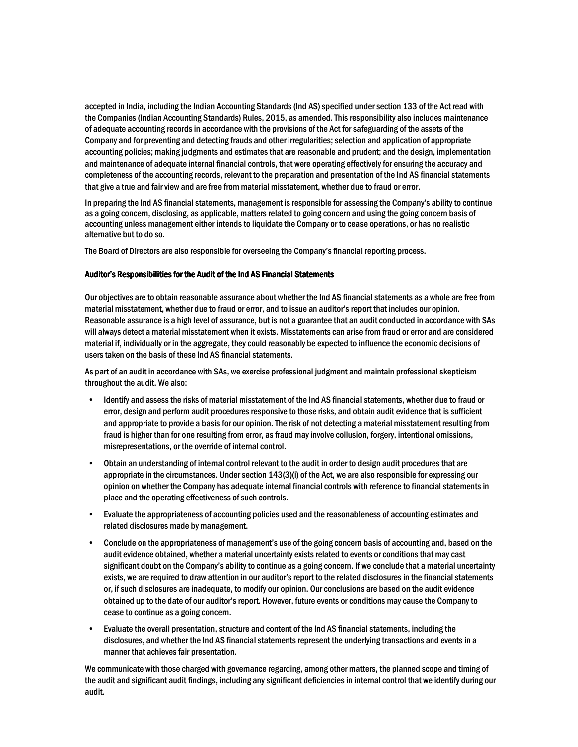accepted in India, including the Indian Accounting Standards (Ind AS) specified under section 133 of the Act read with the Companies (Indian Accounting Standards) Rules, 2015, as amended. This responsibility also includes maintenance of adequate accounting records in accordance with the provisions of the Act for safeguarding of the assets of the Company and for preventing and detecting frauds and other irregularities; selection and application of appropriate accounting policies; making judgments and estimates that are reasonable and prudent; and the design, implementation and maintenance of adequate internal financial controls, that were operating effectively for ensuring the accuracy and completeness of the accounting records, relevant to the preparation and presentation of the Ind AS financial statements that give a true and fair view and are free from material misstatement, whether due to fraud or error.

In preparing the Ind AS financial statements, management is responsible for assessing the Company's ability to continue as a going concern, disclosing, as applicable, matters related to going concern and using the going concern basis of accounting unless management either intends to liquidate the Company or to cease operations, or has no realistic alternative but to do so.

The Board of Directors are also responsible for overseeing the Company's financial reporting process.

# Auditor's Responsibilities for the Audit of the Ind AS Financial Statements

Our objectives are to obtain reasonable assurance about whether the Ind AS financial statements as a whole are free from material misstatement, whether due to fraud or error, and to issue an auditor's report that includes our opinion. Reasonable assurance is a high level of assurance, but is not a guarantee that an audit conducted in accordance with SAs will always detect a material misstatement when it exists. Misstatements can arise from fraud or error and are considered material if, individually or in the aggregate, they could reasonably be expected to influence the economic decisions of users taken on the basis of these Ind AS financial statements.

As part of an audit in accordance with SAs, we exercise professional judgment and maintain professional skepticism throughout the audit. We also:

- Identify and assess the risks of material misstatement of the Ind AS financial statements, whether due to fraud or error, design and perform audit procedures responsive to those risks, and obtain audit evidence that is sufficient and appropriate to provide a basis for our opinion. The risk of not detecting a material misstatement resulting from fraud is higher than for one resulting from error, as fraud may involve collusion, forgery, intentional omissions, misrepresentations, or the override of internal control.
- Obtain an understanding of internal control relevant to the audit in order to design audit procedures that are appropriate in the circumstances. Under section 143(3)(i) of the Act, we are also responsible for expressing our opinion on whether the Company has adequate internal financial controls with reference to financial statements in place and the operating effectiveness of such controls.
- Evaluate the appropriateness of accounting policies used and the reasonableness of accounting estimates and related disclosures made by management.
- Conclude on the appropriateness of management's use of the going concern basis of accounting and, based on the audit evidence obtained, whether a material uncertainty exists related to events or conditions that may cast significant doubt on the Company's ability to continue as a going concern. If we conclude that a material uncertainty exists, we are required to draw attention in our auditor's report to the related disclosures in the financial statements or, if such disclosures are inadequate, to modify our opinion. Our conclusions are based on the audit evidence obtained up to the date of our auditor's report. However, future events or conditions may cause the Company to cease to continue as a going concern.
- Evaluate the overall presentation, structure and content of the Ind AS financial statements, including the disclosures, and whether the Ind AS financial statements represent the underlying transactions and events in a manner that achieves fair presentation.

We communicate with those charged with governance regarding, among other matters, the planned scope and timing of the audit and significant audit findings, including any significant deficiencies in internal control that we identify during our audit.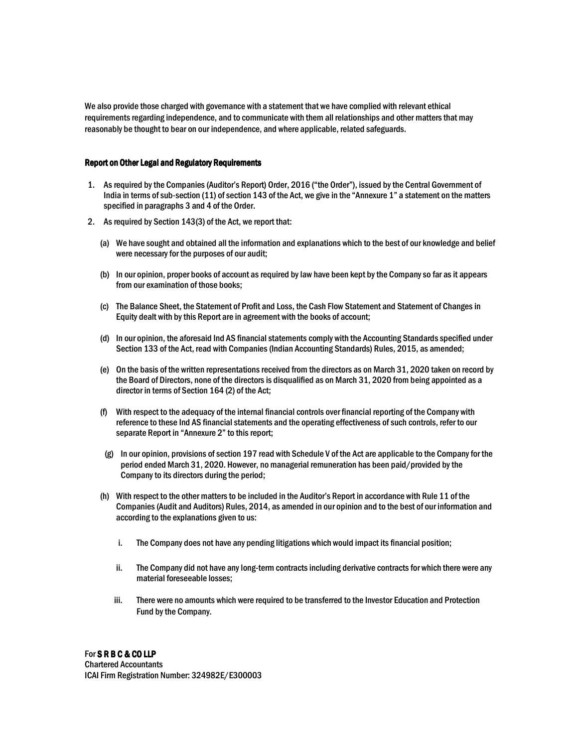We also provide those charged with governance with a statement that we have complied with relevant ethical requirements regarding independence, and to communicate with them all relationships and other matters that may reasonably be thought to bear on our independence, and where applicable, related safeguards.

# Report on Other Legal and Regulatory Requirements

- 1. As required by the Companies (Auditor's Report) Order, 2016 ("the Order"), issued by the Central Government of India in terms of sub-section (11) of section 143 of the Act, we give in the "Annexure 1" a statement on the matters specified in paragraphs 3 and 4 of the Order.
- 2. As required by Section 143(3) of the Act, we report that:
	- (a) We have sought and obtained all the information and explanations which to the best of our knowledge and belief were necessary for the purposes of our audit;
	- (b) In our opinion, proper books of account as required by law have been kept by the Company so far as it appears from our examination of those books;
	- (c) The Balance Sheet, the Statement of Profit and Loss, the Cash Flow Statement and Statement of Changes in Equity dealt with by this Report are in agreement with the books of account;
	- (d) In our opinion, the aforesaid Ind AS financial statements comply with the Accounting Standards specified under Section 133 of the Act, read with Companies (Indian Accounting Standards) Rules, 2015, as amended;
	- (e) On the basis of the written representations received from the directors as on March 31, 2020 taken on record by the Board of Directors, none of the directors is disqualified as on March 31, 2020 from being appointed as a director in terms of Section 164 (2) of the Act;
	- (f) With respect to the adequacy of the internal financial controls over financial reporting of the Company with reference to these Ind AS financial statements and the operating effectiveness of such controls, refer to our separate Report in "Annexure 2" to this report;
	- (g) In our opinion, provisions of section 197 read with Schedule V of the Act are applicable to the Company for the period ended March 31, 2020. However, no managerial remuneration has been paid/provided by the Company to its directors during the period;
	- (h) With respect to the other matters to be included in the Auditor's Report in accordance with Rule 11 of the Companies (Audit and Auditors) Rules, 2014, as amended in our opinion and to the best of our information and according to the explanations given to us:
		- i. The Company does not have any pending litigations which would impact its financial position;
		- ii. The Company did not have any long-term contracts including derivative contracts for which there were any material foreseeable losses;
		- iii. There were no amounts which were required to be transferred to the Investor Education and Protection Fund by the Company.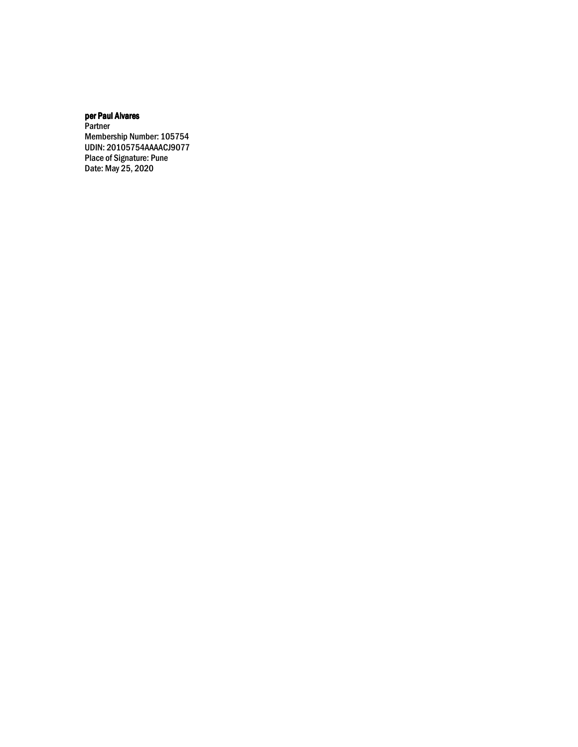# per Paul Alvares

**Partner** Membership Number: 105754 UDIN: 20105754AAAACJ9077 Place of Signature: Pune Date: May 25, 2020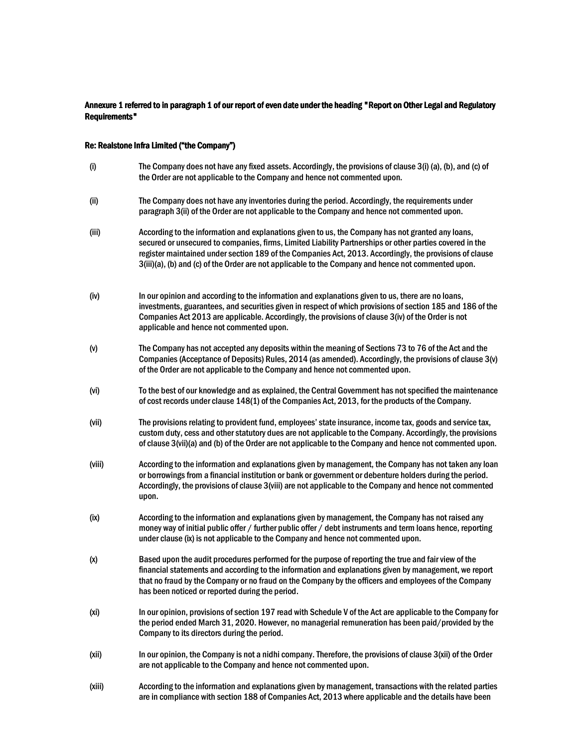# Annexure 1 referred to in paragraph 1 of our report of even date under the heading "Report on Other Legal and Regulatory Requirements"

# Re: Realstone Infra Limited ("the Company")

| (i)    | The Company does not have any fixed assets. Accordingly, the provisions of clause 3(i) (a), (b), and (c) of<br>the Order are not applicable to the Company and hence not commented upon.                                                                                                                                                                                                                                        |
|--------|---------------------------------------------------------------------------------------------------------------------------------------------------------------------------------------------------------------------------------------------------------------------------------------------------------------------------------------------------------------------------------------------------------------------------------|
| (ii)   | The Company does not have any inventories during the period. Accordingly, the requirements under<br>paragraph 3(ii) of the Order are not applicable to the Company and hence not commented upon.                                                                                                                                                                                                                                |
| (iii)  | According to the information and explanations given to us, the Company has not granted any loans,<br>secured or unsecured to companies, firms, Limited Liability Partnerships or other parties covered in the<br>register maintained under section 189 of the Companies Act, 2013. Accordingly, the provisions of clause<br>3(iii)(a), (b) and (c) of the Order are not applicable to the Company and hence not commented upon. |
| (iv)   | In our opinion and according to the information and explanations given to us, there are no loans,<br>investments, guarantees, and securities given in respect of which provisions of section 185 and 186 of the<br>Companies Act 2013 are applicable. Accordingly, the provisions of clause 3(iv) of the Order is not<br>applicable and hence not commented upon.                                                               |
| (v)    | The Company has not accepted any deposits within the meaning of Sections 73 to 76 of the Act and the<br>Companies (Acceptance of Deposits) Rules, 2014 (as amended). Accordingly, the provisions of clause 3(v)<br>of the Order are not applicable to the Company and hence not commented upon.                                                                                                                                 |
| (vi)   | To the best of our knowledge and as explained, the Central Government has not specified the maintenance<br>of cost records under clause 148(1) of the Companies Act, 2013, for the products of the Company.                                                                                                                                                                                                                     |
| (vii)  | The provisions relating to provident fund, employees' state insurance, income tax, goods and service tax,<br>custom duty, cess and other statutory dues are not applicable to the Company. Accordingly, the provisions<br>of clause 3(vii)(a) and (b) of the Order are not applicable to the Company and hence not commented upon.                                                                                              |
| (viii) | According to the information and explanations given by management, the Company has not taken any loan<br>or borrowings from a financial institution or bank or government or debenture holders during the period.<br>Accordingly, the provisions of clause 3(viii) are not applicable to the Company and hence not commented<br>upon.                                                                                           |
| (ix)   | According to the information and explanations given by management, the Company has not raised any<br>money way of initial public offer / further public offer / debt instruments and term loans hence, reporting<br>under clause (ix) is not applicable to the Company and hence not commented upon.                                                                                                                            |
| (x)    | Based upon the audit procedures performed for the purpose of reporting the true and fair view of the<br>financial statements and according to the information and explanations given by management, we report                                                                                                                                                                                                                   |

(xi) In our opinion, provisions of section 197 read with Schedule V of the Act are applicable to the Company for the period ended March 31, 2020. However, no managerial remuneration has been paid/provided by the Company to its directors during the period.

has been noticed or reported during the period.

that no fraud by the Company or no fraud on the Company by the officers and employees of the Company

- (xii) In our opinion, the Company is not a nidhi company. Therefore, the provisions of clause 3(xii) of the Order are not applicable to the Company and hence not commented upon.
- (xiii) According to the information and explanations given by management, transactions with the related parties are in compliance with section 188 of Companies Act, 2013 where applicable and the details have been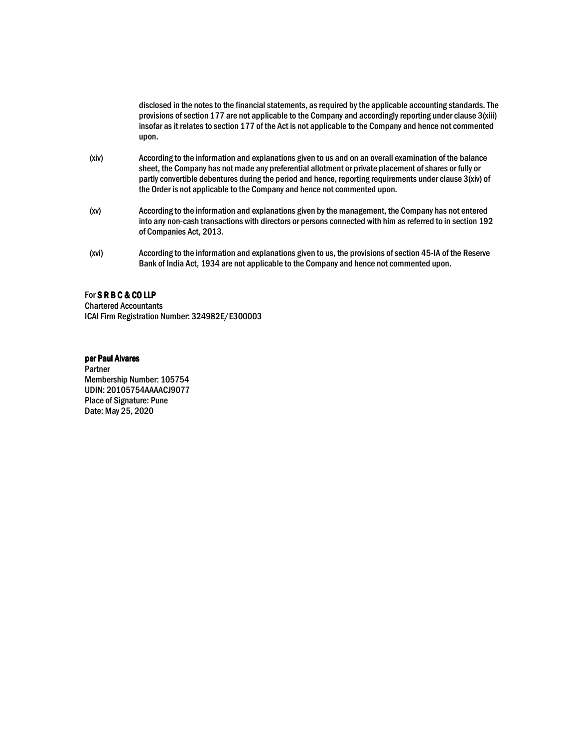disclosed in the notes to the financial statements, as required by the applicable accounting standards. The provisions of section 177 are not applicable to the Company and accordingly reporting under clause 3(xiii) insofar as it relates to section 177 of the Act is not applicable to the Company and hence not commented upon.

- (xiv) According to the information and explanations given to us and on an overall examination of the balance sheet, the Company has not made any preferential allotment or private placement of shares or fully or partly convertible debentures during the period and hence, reporting requirements under clause 3(xiv) of the Order is not applicable to the Company and hence not commented upon.
- (xv) According to the information and explanations given by the management, the Company has not entered into any non-cash transactions with directors or persons connected with him as referred to in section 192 of Companies Act, 2013.
- (xvi) According to the information and explanations given to us, the provisions of section 45-IA of the Reserve Bank of India Act, 1934 are not applicable to the Company and hence not commented upon.

# For SRBC&COLLP

Chartered Accountants ICAI Firm Registration Number: 324982E/E300003

# per Paul Alvares

Partner Membership Number: 105754 UDIN: 20105754AAAACJ9077 Place of Signature: Pune Date: May 25, 2020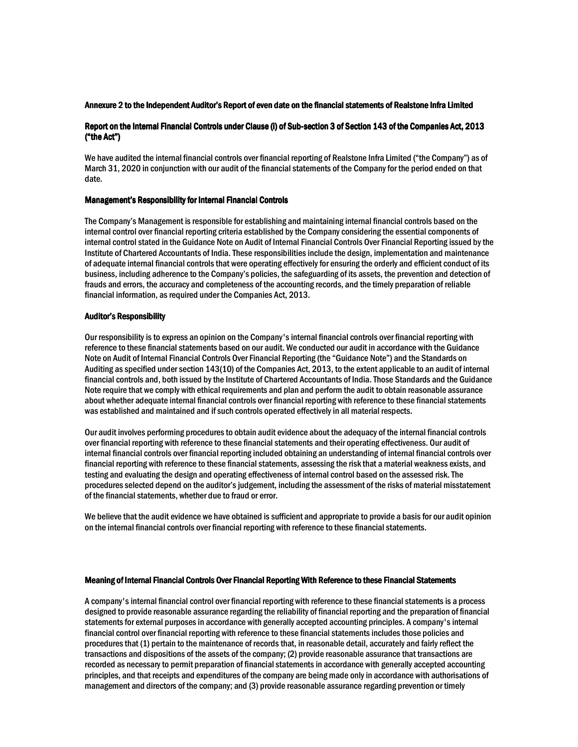# Annexure 2 to the Independent Auditor's Report of even date on the financial statements of Realstone Infra Limited

# Report on the Internal Financial Controls under Clause (i) of Sub-section 3 of Section 143 of the Companies Act, 2013  $("the Act")$

We have audited the internal financial controls over financial reporting of Realstone Infra Limited ("the Company") as of March 31, 2020 in conjunction with our audit of the financial statements of the Company for the period ended on that date.

# Management's Responsibility for Internal Financial Controls

The Company's Management is responsible for establishing and maintaining internal financial controls based on the internal control over financial reporting criteria established by the Company considering the essential components of internal control stated in the Guidance Note on Audit of Internal Financial Controls Over Financial Reporting issued by the Institute of Chartered Accountants of India. These responsibilities include the design, implementation and maintenance of adequate internal financial controls that were operating effectively for ensuring the orderly and efficient conduct of its business, including adherence to the Company's policies, the safeguarding of its assets, the prevention and detection of frauds and errors, the accuracy and completeness of the accounting records, and the timely preparation of reliable financial information, as required under the Companies Act, 2013.

### Auditor's Responsibility

Our responsibility is to express an opinion on the Company's internal financial controls over financial reporting with reference to these financial statements based on our audit. We conducted our audit in accordance with the Guidance Note on Audit of Internal Financial Controls Over Financial Reporting (the "Guidance Note") and the Standards on Auditing as specified under section 143(10) of the Companies Act, 2013, to the extent applicable to an audit of internal financial controls and, both issued by the Institute of Chartered Accountants of India. Those Standards and the Guidance Note require that we comply with ethical requirements and plan and perform the audit to obtain reasonable assurance about whether adequate internal financial controls over financial reporting with reference to these financial statements was established and maintained and if such controls operated effectively in all material respects.

Our audit involves performing procedures to obtain audit evidence about the adequacy of the internal financial controls over financial reporting with reference to these financial statements and their operating effectiveness. Our audit of internal financial controls over financial reporting included obtaining an understanding of internal financial controls over financial reporting with reference to these financial statements, assessing the risk that a material weakness exists, and testing and evaluating the design and operating effectiveness of internal control based on the assessed risk. The procedures selected depend on the auditor's judgement, including the assessment of the risks of material misstatement of the financial statements, whether due to fraud or error.

We believe that the audit evidence we have obtained is sufficient and appropriate to provide a basis for our audit opinion on the internal financial controls over financial reporting with reference to these financial statements.

# Meaning of Internal Financial Controls Over Financial Reporting With Reference to these Financial Statements

A company's internal financial control over financial reporting with reference to these financial statements is a process designed to provide reasonable assurance regarding the reliability of financial reporting and the preparation of financial statements for external purposes in accordance with generally accepted accounting principles. A company's internal financial control over financial reporting with reference to these financial statements includes those policies and procedures that (1) pertain to the maintenance of records that, in reasonable detail, accurately and fairly reflect the transactions and dispositions of the assets of the company; (2) provide reasonable assurance that transactions are recorded as necessary to permit preparation of financial statements in accordance with generally accepted accounting principles, and that receipts and expenditures of the company are being made only in accordance with authorisations of management and directors of the company; and (3) provide reasonable assurance regarding prevention or timely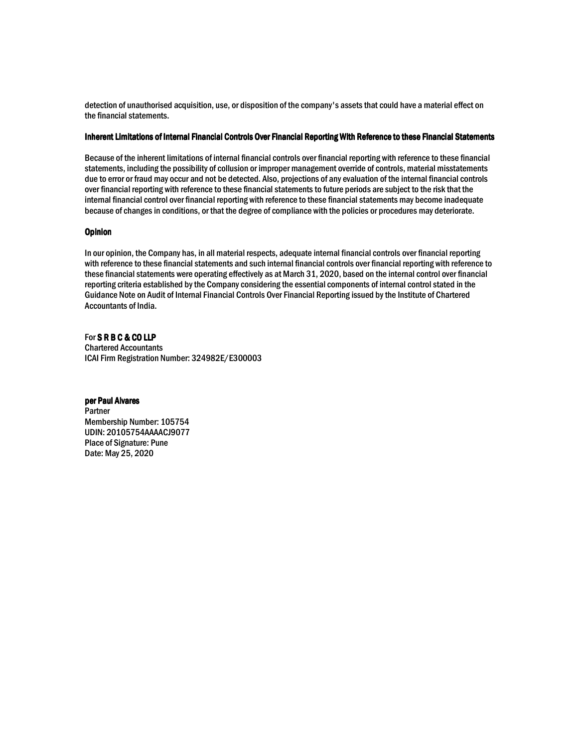detection of unauthorised acquisition, use, or disposition of the company's assets that could have a material effect on the financial statements.

# Inherent Limitations of Internal Financial Controls Over Financial Reporting With Reference to these Financial Statements

Because of the inherent limitations of internal financial controls over financial reporting with reference to these financial statements, including the possibility of collusion or improper management override of controls, material misstatements due to error or fraud may occur and not be detected. Also, projections of any evaluation of the internal financial controls over financial reporting with reference to these financial statements to future periods are subject to the risk that the internal financial control over financial reporting with reference to these financial statements may become inadequate because of changes in conditions, or that the degree of compliance with the policies or procedures may deteriorate.

# **Opinion**

In our opinion, the Company has, in all material respects, adequate internal financial controls over financial reporting with reference to these financial statements and such internal financial controls over financial reporting with reference to these financial statements were operating effectively as at March 31, 2020, based on the internal control over financial reporting criteria established by the Company considering the essential components of internal control stated in the Guidance Note on Audit of Internal Financial Controls Over Financial Reporting issued by the Institute of Chartered Accountants of India.

# For SRBC & COLLP Chartered Accountants ICAI Firm Registration Number: 324982E/E300003

# per Paul Alvares

Partner Membership Number: 105754 UDIN: 20105754AAAACJ9077 Place of Signature: Pune Date: May 25, 2020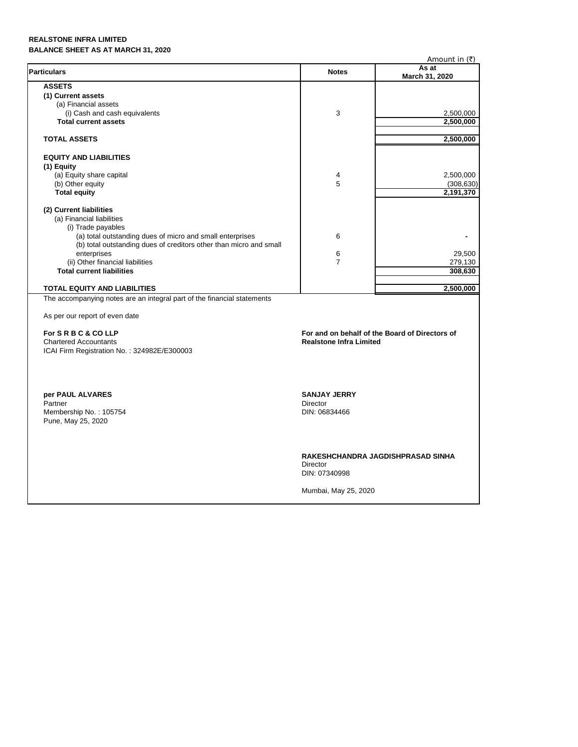# **REALSTONE INFRA LIMITED BALANCE SHEET AS AT MARCH 31, 2020**

|                                                                         |                                                                | Amount in $(\bar{\tau})$ |
|-------------------------------------------------------------------------|----------------------------------------------------------------|--------------------------|
| <b>Particulars</b>                                                      | <b>Notes</b>                                                   | As at<br>March 31, 2020  |
| <b>ASSETS</b>                                                           |                                                                |                          |
| (1) Current assets                                                      |                                                                |                          |
| (a) Financial assets                                                    |                                                                |                          |
| (i) Cash and cash equivalents                                           | 3                                                              | 2,500,000                |
| <b>Total current assets</b>                                             |                                                                | 2,500,000                |
| <b>TOTAL ASSETS</b>                                                     |                                                                | 2,500,000                |
| <b>EQUITY AND LIABILITIES</b>                                           |                                                                |                          |
| (1) Equity                                                              |                                                                |                          |
| (a) Equity share capital                                                | 4                                                              | 2,500,000                |
| (b) Other equity                                                        | 5                                                              | (308, 630)               |
| <b>Total equity</b>                                                     |                                                                | 2,191,370                |
| (2) Current liabilities                                                 |                                                                |                          |
| (a) Financial liabilities                                               |                                                                |                          |
| (i) Trade payables                                                      |                                                                |                          |
| (a) total outstanding dues of micro and small enterprises               | 6                                                              |                          |
| (b) total outstanding dues of creditors other than micro and small      |                                                                |                          |
| enterprises                                                             | 6                                                              | 29,500                   |
| (ii) Other financial liabilities                                        | $\overline{7}$                                                 | 279,130                  |
| <b>Total current liabilities</b>                                        |                                                                | 308,630                  |
|                                                                         |                                                                |                          |
| <b>TOTAL EQUITY AND LIABILITIES</b>                                     |                                                                | 2,500,000                |
| The accompanying notes are an integral part of the financial statements |                                                                |                          |
| As per our report of even date                                          |                                                                |                          |
| For SRBC&COLLP                                                          | For and on behalf of the Board of Directors of                 |                          |
| <b>Chartered Accountants</b>                                            | <b>Realstone Infra Limited</b>                                 |                          |
| ICAI Firm Registration No.: 324982E/E300003                             |                                                                |                          |
|                                                                         |                                                                |                          |
| per PAUL ALVARES                                                        | <b>SANJAY JERRY</b>                                            |                          |
| Partner                                                                 | <b>Director</b>                                                |                          |
| Membership No.: 105754<br>Pune, May 25, 2020                            | DIN: 06834466                                                  |                          |
|                                                                         |                                                                |                          |
|                                                                         | RAKESHCHANDRA JAGDISHPRASAD SINHA<br>Director<br>DIN: 07340998 |                          |
|                                                                         | Mumbai, May 25, 2020                                           |                          |
|                                                                         |                                                                |                          |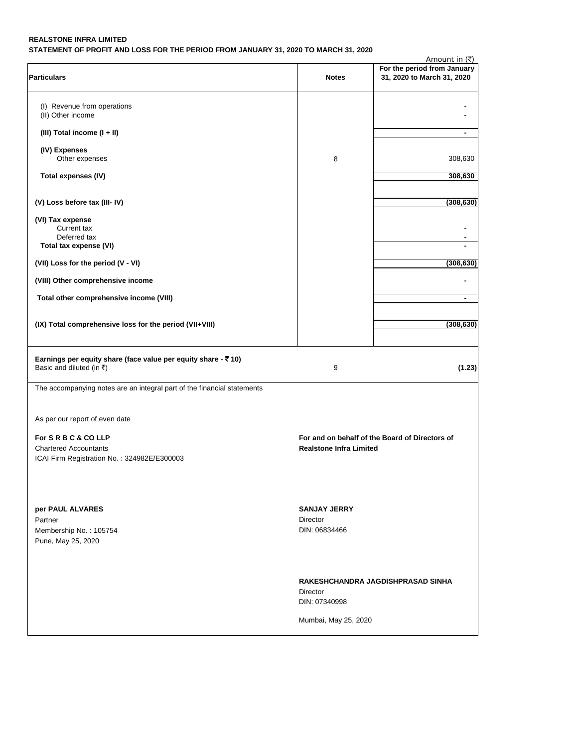# **REALSTONE INFRA LIMITED STATEMENT OF PROFIT AND LOSS FOR THE PERIOD FROM JANUARY 31, 2020 TO MARCH 31, 2020**

|                                                                                                       |                                | Amount in $(\bar{\tau})$                                  |
|-------------------------------------------------------------------------------------------------------|--------------------------------|-----------------------------------------------------------|
| <b>Particulars</b>                                                                                    | <b>Notes</b>                   | For the period from January<br>31, 2020 to March 31, 2020 |
| (I) Revenue from operations<br>(II) Other income                                                      |                                |                                                           |
| (III) Total income (I + II)                                                                           |                                | $\blacksquare$                                            |
| (IV) Expenses                                                                                         |                                |                                                           |
| Other expenses<br>Total expenses (IV)                                                                 | 8                              | 308,630<br>308,630                                        |
|                                                                                                       |                                |                                                           |
| (V) Loss before tax (III-IV)                                                                          |                                | (308, 630)                                                |
| (VI) Tax expense<br>Current tax<br>Deferred tax                                                       |                                |                                                           |
| Total tax expense (VI)                                                                                |                                |                                                           |
| (VII) Loss for the period (V - VI)                                                                    |                                | (308, 630)                                                |
| (VIII) Other comprehensive income                                                                     |                                |                                                           |
| Total other comprehensive income (VIII)                                                               |                                | $\blacksquare$                                            |
| (IX) Total comprehensive loss for the period (VII+VIII)                                               |                                | (308, 630)                                                |
| Earnings per equity share (face value per equity share $-$ ₹ 10)<br>Basic and diluted (in $\bar{z}$ ) | 9                              | (1.23)                                                    |
| The accompanying notes are an integral part of the financial statements                               |                                |                                                           |
| As per our report of even date                                                                        |                                |                                                           |
| For SRBC&COLLP<br><b>Chartered Accountants</b>                                                        | <b>Realstone Infra Limited</b> | For and on behalf of the Board of Directors of            |
| ICAI Firm Registration No.: 324982E/E300003                                                           |                                |                                                           |
|                                                                                                       |                                |                                                           |
| per PAUL ALVARES                                                                                      | <b>SANJAY JERRY</b>            |                                                           |
| Partner<br>Membership No.: 105754                                                                     | Director<br>DIN: 06834466      |                                                           |
| Pune, May 25, 2020                                                                                    |                                |                                                           |
|                                                                                                       |                                | RAKESHCHANDRA JAGDISHPRASAD SINHA                         |
|                                                                                                       | Director<br>DIN: 07340998      |                                                           |
|                                                                                                       | Mumbai, May 25, 2020           |                                                           |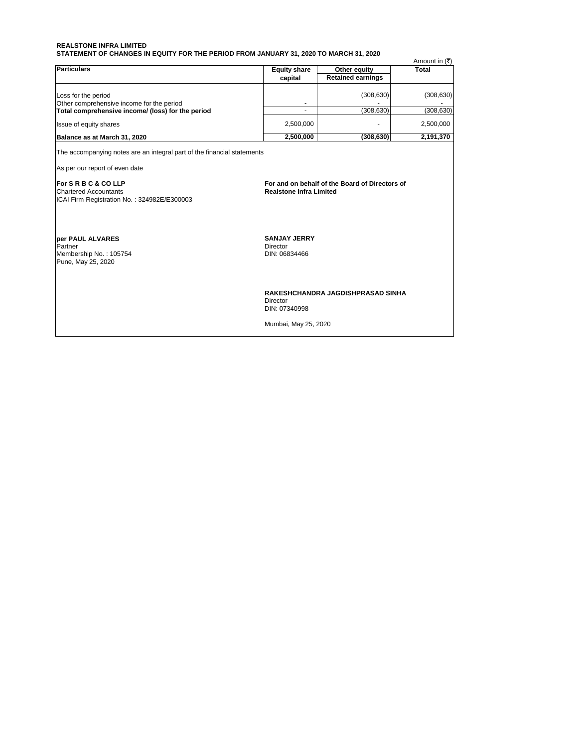#### **REALSTONE INFRA LIMITED STATEMENT OF CHANGES IN EQUITY FOR THE PERIOD FROM JANUARY 31, 2020 TO MARCH 31, 2020**

| <b>Particulars</b>                                                                                                                                                                                                           | <b>Equity share</b>                              |                                                | Amount in $(\bar{\tau})$<br>Total |
|------------------------------------------------------------------------------------------------------------------------------------------------------------------------------------------------------------------------------|--------------------------------------------------|------------------------------------------------|-----------------------------------|
|                                                                                                                                                                                                                              | capital                                          | Other equity<br><b>Retained earnings</b>       |                                   |
|                                                                                                                                                                                                                              |                                                  |                                                |                                   |
| Loss for the period                                                                                                                                                                                                          |                                                  | (308, 630)                                     | (308, 630)                        |
| Other comprehensive income for the period                                                                                                                                                                                    |                                                  |                                                |                                   |
| Total comprehensive income/ (loss) for the period                                                                                                                                                                            | ٠                                                | (308.630)                                      | (308, 630)                        |
| Issue of equity shares                                                                                                                                                                                                       | 2,500,000                                        |                                                | 2,500,000                         |
| Balance as at March 31, 2020                                                                                                                                                                                                 | 2,500,000                                        | (308, 630)                                     | 2,191,370                         |
| The accompanying notes are an integral part of the financial statements<br>As per our report of even date<br><b>IFor S R B C &amp; CO LLP</b><br><b>Chartered Accountants</b><br>ICAI Firm Registration No.: 324982E/E300003 | <b>Realstone Infra Limited</b>                   | For and on behalf of the Board of Directors of |                                   |
| <b>per PAUL ALVARES</b><br>Partner<br>Membership No.: 105754<br>Pune, May 25, 2020                                                                                                                                           | <b>SANJAY JERRY</b><br>Director<br>DIN: 06834466 |                                                |                                   |
|                                                                                                                                                                                                                              | Director<br>DIN: 07340998                        | RAKESHCHANDRA JAGDISHPRASAD SINHA              |                                   |
|                                                                                                                                                                                                                              | Mumbai, May 25, 2020                             |                                                |                                   |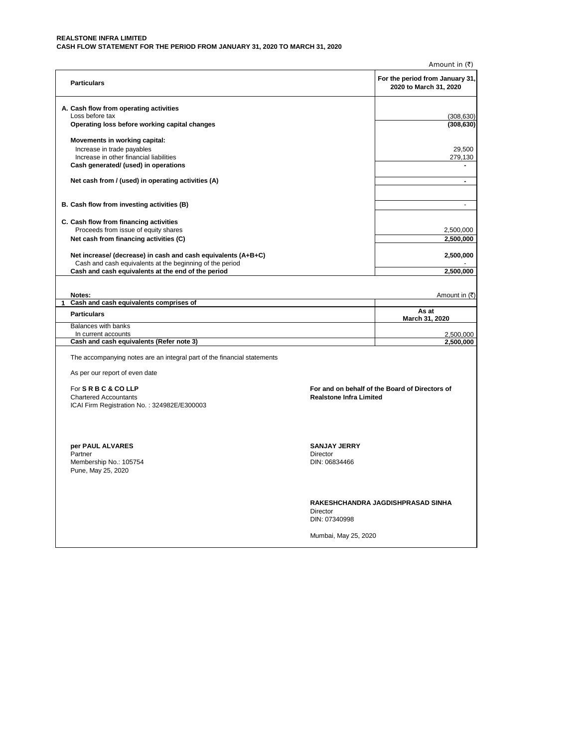#### **REALSTONE INFRA LIMITED CASH FLOW STATEMENT FOR THE PERIOD FROM JANUARY 31, 2020 TO MARCH 31, 2020**

|                                                                                                                |                                  | Amount in $(\bar{\tau})$                                  |
|----------------------------------------------------------------------------------------------------------------|----------------------------------|-----------------------------------------------------------|
| <b>Particulars</b>                                                                                             |                                  | For the period from January 31,<br>2020 to March 31, 2020 |
| A. Cash flow from operating activities                                                                         |                                  |                                                           |
| Loss before tax                                                                                                |                                  | (308, 630)                                                |
| Operating loss before working capital changes                                                                  |                                  | (308, 630)                                                |
| Movements in working capital:                                                                                  |                                  |                                                           |
| Increase in trade payables                                                                                     |                                  | 29,500                                                    |
| Increase in other financial liabilities                                                                        |                                  | 279,130                                                   |
| Cash generated/ (used) in operations                                                                           |                                  | $\blacksquare$                                            |
| Net cash from / (used) in operating activities (A)                                                             |                                  | $\blacksquare$                                            |
| B. Cash flow from investing activities (B)                                                                     |                                  | $\blacksquare$                                            |
| C. Cash flow from financing activities                                                                         |                                  |                                                           |
| Proceeds from issue of equity shares                                                                           |                                  | 2,500,000                                                 |
| Net cash from financing activities (C)                                                                         |                                  | 2,500,000                                                 |
|                                                                                                                |                                  |                                                           |
| Net increase/ (decrease) in cash and cash equivalents (A+B+C)                                                  |                                  | 2,500,000                                                 |
| Cash and cash equivalents at the beginning of the period<br>Cash and cash equivalents at the end of the period |                                  | 2,500,000                                                 |
|                                                                                                                |                                  |                                                           |
|                                                                                                                |                                  |                                                           |
| Notes:                                                                                                         |                                  | Amount in (そ)                                             |
| Cash and cash equivalents comprises of<br>1                                                                    |                                  |                                                           |
| <b>Particulars</b>                                                                                             |                                  | As at<br>March 31, 2020                                   |
| Balances with banks                                                                                            |                                  |                                                           |
| In current accounts<br>Cash and cash equivalents (Refer note 3)                                                |                                  | 2,500,000<br>2,500,000                                    |
|                                                                                                                |                                  |                                                           |
| The accompanying notes are an integral part of the financial statements                                        |                                  |                                                           |
| As per our report of even date                                                                                 |                                  |                                                           |
| For S R B C & CO LLP                                                                                           |                                  | For and on behalf of the Board of Directors of            |
| <b>Chartered Accountants</b>                                                                                   | <b>Realstone Infra Limited</b>   |                                                           |
| ICAI Firm Registration No.: 324982E/E300003                                                                    |                                  |                                                           |
|                                                                                                                |                                  |                                                           |
|                                                                                                                |                                  |                                                           |
|                                                                                                                |                                  |                                                           |
| per PAUL ALVARES                                                                                               | <b>SANJAY JERRY</b>              |                                                           |
| Partner<br>Membership No.: 105754                                                                              | <b>Director</b><br>DIN: 06834466 |                                                           |
| Pune, May 25, 2020                                                                                             |                                  |                                                           |
|                                                                                                                |                                  |                                                           |
|                                                                                                                |                                  |                                                           |
|                                                                                                                |                                  | RAKESHCHANDRA JAGDISHPRASAD SINHA                         |
|                                                                                                                | Director                         |                                                           |
|                                                                                                                | DIN: 07340998                    |                                                           |
|                                                                                                                | Mumbai, May 25, 2020             |                                                           |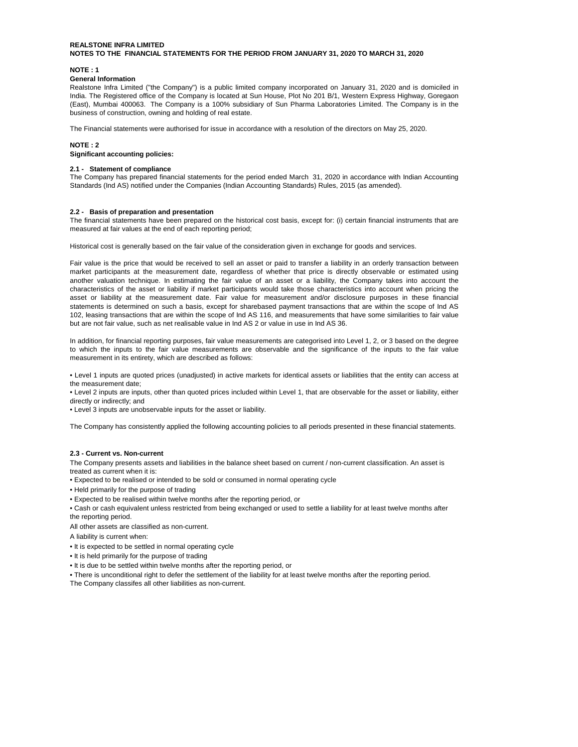**NOTE : 1** 

#### **General Information**

Realstone Infra Limited ("the Company") is a public limited company incorporated on January 31, 2020 and is domiciled in India. The Registered office of the Company is located at Sun House, Plot No 201 B/1, Western Express Highway, Goregaon (East), Mumbai 400063. The Company is a 100% subsidiary of Sun Pharma Laboratories Limited. The Company is in the business of construction, owning and holding of real estate.

The Financial statements were authorised for issue in accordance with a resolution of the directors on May 25, 2020.

#### **NOTE : 2**

**Significant accounting policies:**

#### **2.1 - Statement of compliance**

The Company has prepared financial statements for the period ended March 31, 2020 in accordance with Indian Accounting Standards (Ind AS) notified under the Companies (Indian Accounting Standards) Rules, 2015 (as amended).

#### **2.2 - Basis of preparation and presentation**

The financial statements have been prepared on the historical cost basis, except for: (i) certain financial instruments that are measured at fair values at the end of each reporting period;

Historical cost is generally based on the fair value of the consideration given in exchange for goods and services.

Fair value is the price that would be received to sell an asset or paid to transfer a liability in an orderly transaction between market participants at the measurement date, regardless of whether that price is directly observable or estimated using another valuation technique. In estimating the fair value of an asset or a liability, the Company takes into account the characteristics of the asset or liability if market participants would take those characteristics into account when pricing the asset or liability at the measurement date. Fair value for measurement and/or disclosure purposes in these financial statements is determined on such a basis, except for sharebased payment transactions that are within the scope of Ind AS 102, leasing transactions that are within the scope of Ind AS 116, and measurements that have some similarities to fair value but are not fair value, such as net realisable value in Ind AS 2 or value in use in Ind AS 36.

In addition, for financial reporting purposes, fair value measurements are categorised into Level 1, 2, or 3 based on the degree to which the inputs to the fair value measurements are observable and the significance of the inputs to the fair value measurement in its entirety, which are described as follows:

• Level 1 inputs are quoted prices (unadjusted) in active markets for identical assets or liabilities that the entity can access at the measurement date;

• Level 2 inputs are inputs, other than quoted prices included within Level 1, that are observable for the asset or liability, either directly or indirectly; and

• Level 3 inputs are unobservable inputs for the asset or liability.

The Company has consistently applied the following accounting policies to all periods presented in these financial statements.

#### **2.3 - Current vs. Non-current**

The Company presents assets and liabilities in the balance sheet based on current / non-current classification. An asset is treated as current when it is:

- Expected to be realised or intended to be sold or consumed in normal operating cycle
- Held primarily for the purpose of trading
- Expected to be realised within twelve months after the reporting period, or
- Cash or cash equivalent unless restricted from being exchanged or used to settle a liability for at least twelve months after the reporting period.

All other assets are classified as non-current.

A liability is current when:

- It is expected to be settled in normal operating cycle
- It is held primarily for the purpose of trading
- It is due to be settled within twelve months after the reporting period, or

• There is unconditional right to defer the settlement of the liability for at least twelve months after the reporting period. The Company classifes all other liabilities as non-current.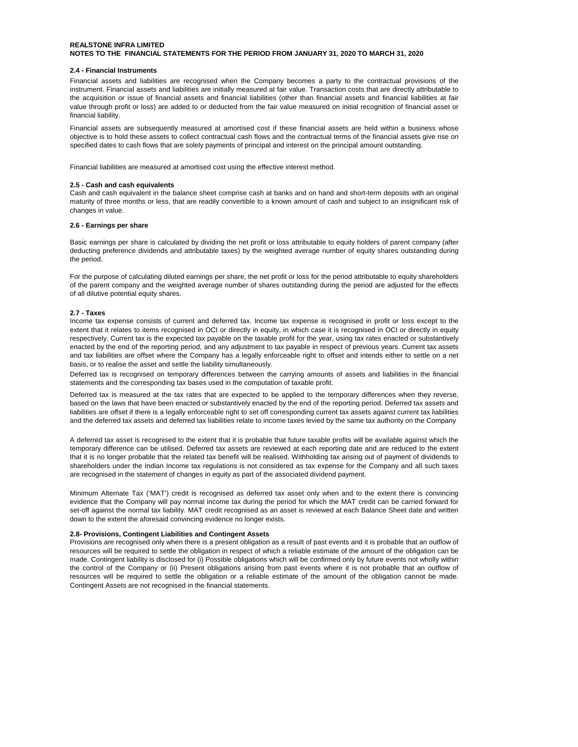#### **2.4 - Financial Instruments**

Financial assets and liabilities are recognised when the Company becomes a party to the contractual provisions of the instrument. Financial assets and liabilities are initially measured at fair value. Transaction costs that are directly attributable to the acquisition or issue of financial assets and financial liabilities (other than financial assets and financial liabilities at fair value through profit or loss) are added to or deducted from the fair value measured on initial recognition of financial asset or financial liability.

Financial assets are subsequently measured at amortised cost if these financial assets are held within a business whose objective is to hold these assets to collect contractual cash flows and the contractual terms of the financial assets give rise on specified dates to cash flows that are solely payments of principal and interest on the principal amount outstanding.

Financial liabilities are measured at amortised cost using the effective interest method.

#### **2.5 - Cash and cash equivalents**

Cash and cash equivalent in the balance sheet comprise cash at banks and on hand and short-term deposits with an original maturity of three months or less, that are readily convertible to a known amount of cash and subject to an insignificant risk of changes in value.

#### **2.6 - Earnings per share**

Basic earnings per share is calculated by dividing the net profit or loss attributable to equity holders of parent company (after deducting preference dividends and attributable taxes) by the weighted average number of equity shares outstanding during the period.

For the purpose of calculating diluted earnings per share, the net profit or loss for the period attributable to equity shareholders of the parent company and the weighted average number of shares outstanding during the period are adjusted for the effects of all dilutive potential equity shares.

#### **2.7 - Taxes**

Income tax expense consists of current and deferred tax. Income tax expense is recognised in profit or loss except to the extent that it relates to items recognised in OCI or directly in equity, in which case it is recognised in OCI or directly in equity respectively. Current tax is the expected tax payable on the taxable profit for the year, using tax rates enacted or substantively enacted by the end of the reporting period, and any adjustment to tax payable in respect of previous years. Current tax assets and tax liabilities are offset where the Company has a legally enforceable right to offset and intends either to settle on a net basis, or to realise the asset and settle the liability simultaneously.

Deferred tax is recognised on temporary differences between the carrying amounts of assets and liabilities in the financial statements and the corresponding tax bases used in the computation of taxable profit.

Deferred tax is measured at the tax rates that are expected to be applied to the temporary differences when they reverse, based on the laws that have been enacted or substantively enacted by the end of the reporting period. Deferred tax assets and liabilities are offset if there is a legally enforceable right to set off corresponding current tax assets against current tax liabilities and the deferred tax assets and deferred tax liabilities relate to income taxes levied by the same tax authority on the Company

A deferred tax asset is recognised to the extent that it is probable that future taxable profits will be available against which the temporary difference can be utilised. Deferred tax assets are reviewed at each reporting date and are reduced to the extent that it is no longer probable that the related tax benefit will be realised. Withholding tax arising out of payment of dividends to shareholders under the Indian Income tax regulations is not considered as tax expense for the Company and all such taxes are recognised in the statement of changes in equity as part of the associated dividend payment.

Minimum Alternate Tax ('MAT') credit is recognised as deferred tax asset only when and to the extent there is convincing evidence that the Company will pay normal income tax during the period for which the MAT credit can be carried forward for set-off against the normal tax liability. MAT credit recognised as an asset is reviewed at each Balance Sheet date and written down to the extent the aforesaid convincing evidence no longer exists.

#### **2.8- Provisions, Contingent Liabilities and Contingent Assets**

Provisions are recognised only when there is a present obligation as a result of past events and it is probable that an outflow of resources will be required to settle the obligation in respect of which a reliable estimate of the amount of the obligation can be made. Contingent liability is disclosed for (i) Possible obligations which will be confirmed only by future events not wholly within the control of the Company or (ii) Present obligations arising from past events where it is not probable that an outflow of resources will be required to settle the obligation or a reliable estimate of the amount of the obligation cannot be made. Contingent Assets are not recognised in the financial statements.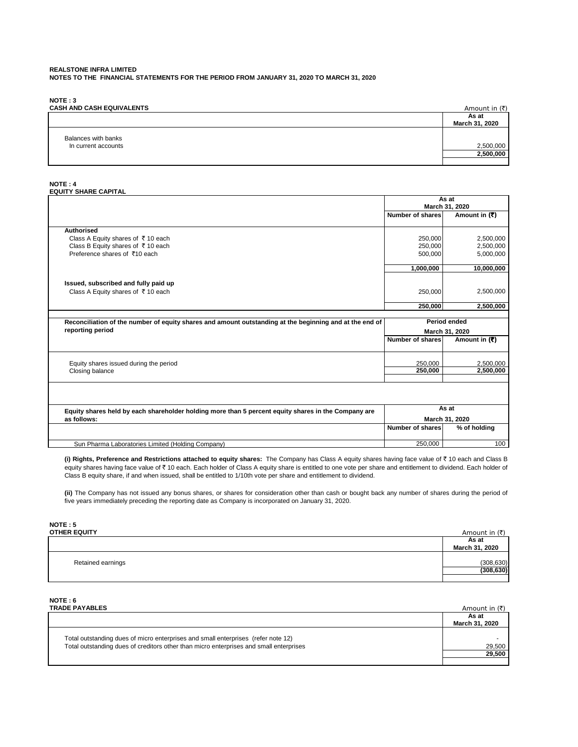**NOTE : 3**

| <b>CASH AND CASH EQUIVALENTS</b>           | Amount in $(\bar{\tau})$ |
|--------------------------------------------|--------------------------|
|                                            | As at<br>March 31, 2020  |
| Balances with banks<br>In current accounts | 2,500,000<br>2,500,000   |

#### **NOTE : 4 EQUITY SHARE CAPITAL**

|                                                                                                         |                  | As at               |
|---------------------------------------------------------------------------------------------------------|------------------|---------------------|
|                                                                                                         |                  | March 31, 2020      |
|                                                                                                         | Number of shares | Amount in (₹)       |
| <b>Authorised</b>                                                                                       |                  |                     |
| Class A Equity shares of ₹10 each                                                                       | 250,000          | 2,500,000           |
| Class B Equity shares of ₹10 each                                                                       | 250,000          | 2,500,000           |
| Preference shares of ₹10 each                                                                           | 500,000          | 5,000,000           |
|                                                                                                         |                  |                     |
|                                                                                                         | 1,000,000        | 10,000,000          |
| Issued, subscribed and fully paid up                                                                    |                  |                     |
| Class A Equity shares of ₹10 each                                                                       | 250,000          | 2,500,000           |
|                                                                                                         |                  |                     |
|                                                                                                         | 250,000          | 2,500,000           |
| Reconciliation of the number of equity shares and amount outstanding at the beginning and at the end of |                  | <b>Period ended</b> |
|                                                                                                         |                  |                     |
|                                                                                                         |                  |                     |
| reporting period                                                                                        |                  | March 31, 2020      |
|                                                                                                         | Number of shares | Amount in $(7)$     |
|                                                                                                         |                  |                     |
| Equity shares issued during the period                                                                  | 250,000          | 2,500,000           |
| Closing balance                                                                                         | 250,000          | 2,500,000           |
|                                                                                                         |                  |                     |
|                                                                                                         |                  |                     |
| Equity shares held by each shareholder holding more than 5 percent equity shares in the Company are     |                  | As at               |
| as follows:                                                                                             |                  | March 31, 2020      |
|                                                                                                         | Number of shares | % of holding        |
| Sun Pharma Laboratories Limited (Holding Company)                                                       | 250,000          | 100                 |

**(i) Rights, Preference and Restrictions attached to equity shares:** The Company has Class A equity shares having face value of ₹ 10 each and Class B equity shares having face value of ₹ 10 each. Each holder of Class A equity share is entitled to one vote per share and entitlement to dividend. Each holder of Class B equity share, if and when issued, shall be entitled to 1/10th vote per share and entitlement to dividend.

**(ii)** The Company has not issued any bonus shares, or shares for consideration other than cash or bought back any number of shares during the period of five years immediately preceding the reporting date as Company is incorporated on January 31, 2020.

# **NOTE : 5**

| <b>OTHER EQUITY</b> | Amount in $(\bar{\tau})$ |
|---------------------|--------------------------|
|                     | As at                    |
|                     | March 31, 2020           |
|                     |                          |
| Retained earnings   | (308, 630)               |
|                     | (308, 630)               |
|                     |                          |

# **NOTE : 6**

| TRADE PAYABLES                                                                                                                                                              | Amount in $(₹)$         |
|-----------------------------------------------------------------------------------------------------------------------------------------------------------------------------|-------------------------|
|                                                                                                                                                                             | As at<br>March 31, 2020 |
| Total outstanding dues of micro enterprises and small enterprises (refer note 12)<br>Total outstanding dues of creditors other than micro enterprises and small enterprises | 29,500<br>29,500        |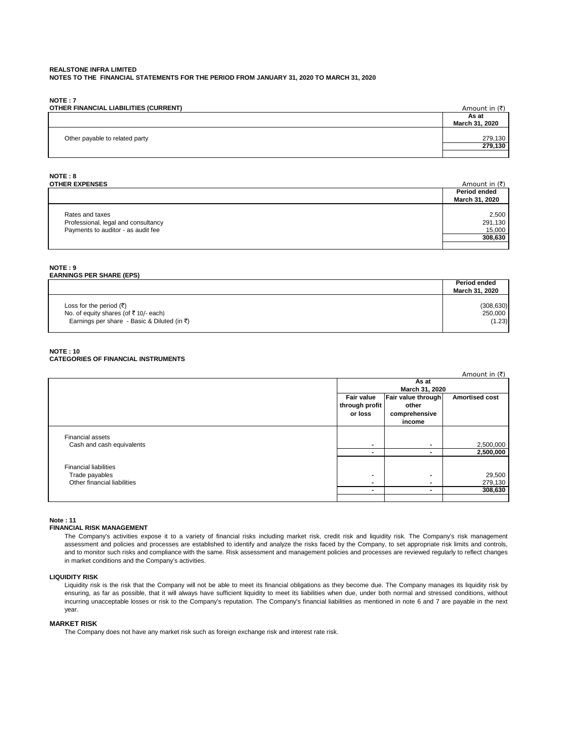**NOTE : 7**

| OTHER FINANCIAL LIABILITIES (CURRENT) | Amount in (₹)           |
|---------------------------------------|-------------------------|
|                                       | As at<br>March 31, 2020 |
| Other payable to related party        | 279,130<br>279,130      |
|                                       |                         |

# **NOTE : 8**

| <b>OTHER EXPENSES</b>               | Amount in $(\bar{\tau})$ |
|-------------------------------------|--------------------------|
|                                     | Period ended             |
|                                     | March 31, 2020           |
|                                     |                          |
| Rates and taxes                     | 2,500                    |
| Professional, legal and consultancy | 291,130                  |
| Payments to auditor - as audit fee  | 15,000                   |
|                                     | 308,630                  |
|                                     |                          |

#### **NOTE : 9**

# **EARNINGS PER SHARE (EPS)**

|                                                   | Period ended<br>March 31, 2020 |
|---------------------------------------------------|--------------------------------|
| Loss for the period $(\overline{\tau})$           | (308, 630)                     |
| No. of equity shares (of $\overline{5}$ 10/-each) | 250,000                        |
| Earnings per share - Basic & Diluted (in ₹)       | (1.23)                         |

#### **NOTE : 10 CATEGORIES OF FINANCIAL INSTRUMENTS**

|                              |                |                    | Amount in $(3)$       |
|------------------------------|----------------|--------------------|-----------------------|
|                              | As at          |                    |                       |
|                              | March 31, 2020 |                    |                       |
|                              | Fair value     | Fair value through | <b>Amortised cost</b> |
|                              | through profit | other              |                       |
|                              | or loss        | comprehensive      |                       |
|                              |                | income             |                       |
| <b>Financial assets</b>      |                |                    |                       |
| Cash and cash equivalents    | $\blacksquare$ | $\blacksquare$     | 2,500,000             |
|                              | $\blacksquare$ | $\blacksquare$     | 2,500,000             |
| <b>Financial liabilities</b> |                |                    |                       |
| Trade payables               | $\blacksquare$ | ٠                  | 29,500                |
| Other financial liabilities  | $\blacksquare$ | $\blacksquare$     | 279,130               |
|                              | $\blacksquare$ | $\blacksquare$     | 308,630               |
|                              |                |                    |                       |

#### **Note : 11**

#### **FINANCIAL RISK MANAGEMENT**

The Company's activities expose it to a variety of financial risks including market risk, credit risk and liquidity risk. The Company's risk management assessment and policies and processes are established to identify and analyze the risks faced by the Company, to set appropriate risk limits and controls, and to monitor such risks and compliance with the same. Risk assessment and management policies and processes are reviewed regularly to reflect changes in market conditions and the Company's activities.

#### **LIQUIDITY RISK**

Liquidity risk is the risk that the Company will not be able to meet its financial obligations as they become due. The Company manages its liquidity risk by ensuring, as far as possible, that it will always have sufficient liquidity to meet its liabilities when due, under both normal and stressed conditions, without incurring unacceptable losses or risk to the Company's reputation. The Company's financial liabilities as mentioned in note 6 and 7 are payable in the next year.

#### **MARKET RISK**

The Company does not have any market risk such as foreign exchange risk and interest rate risk.